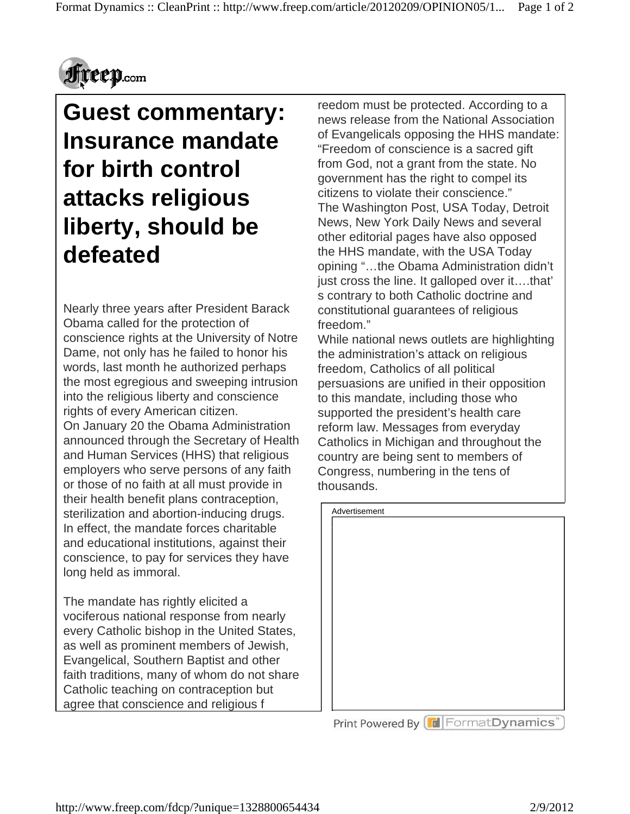

## **Guest commentary: Insurance mandate for birth control attacks religious liberty, should be defeated**

Nearly three years after President Barack Obama called for the protection of conscience rights at the University of Notre Dame, not only has he failed to honor his words, last month he authorized perhaps the most egregious and sweeping intrusion into the religious liberty and conscience rights of every American citizen. On January 20 the Obama Administration announced through the Secretary of Health and Human Services (HHS) that religious employers who serve persons of any faith or those of no faith at all must provide in their health benefit plans contraception, sterilization and abortion-inducing drugs. In effect, the mandate forces charitable and educational institutions, against their conscience, to pay for services they have long held as immoral.

The mandate has rightly elicited a vociferous national response from nearly every Catholic bishop in the United States, as well as prominent members of Jewish, Evangelical, Southern Baptist and other faith traditions, many of whom do not share Catholic teaching on contraception but agree that conscience and religious f

reedom must be protected. According to a news release from the National Association of Evangelicals opposing the HHS mandate: "Freedom of conscience is a sacred gift from God, not a grant from the state. No government has the right to compel its citizens to violate their conscience." The Washington Post, USA Today, Detroit News, New York Daily News and several other editorial pages have also opposed the HHS mandate, with the USA Today opining "…the Obama Administration didn't just cross the line. It galloped over it….that' s contrary to both Catholic doctrine and constitutional guarantees of religious freedom."

While national news outlets are highlighting the administration's attack on religious freedom, Catholics of all political persuasions are unified in their opposition to this mandate, including those who supported the president's health care reform law. Messages from everyday Catholics in Michigan and throughout the country are being sent to members of Congress, numbering in the tens of thousands.